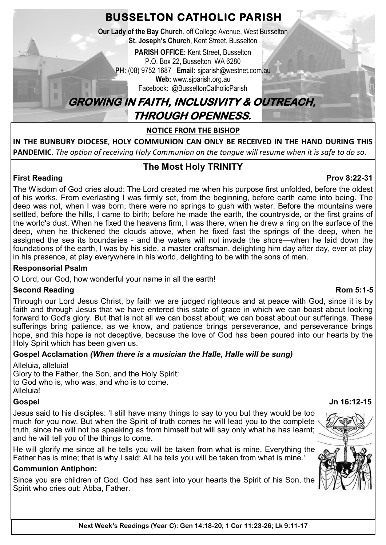**BUSSELTON CATHOLIC PARISH**

**Our Lady of the Bay Church**, off College Avenue, West Busselton **St. Joseph's Church, Kent Street, Busselton** 

**PARISH OFFICE:** Kent Street, Busselton P.O. Box 22, Busselton WA 6280 **PH:** (08) 9752 1687 **Email:** sjparish@westnet.com.au **Web:** www.sjparish.org.au

Facebook: @BusseltonCatholicParish

# **GROWING IN FAITH, INCLUSIVITY & OUTREACH, THROUGH OPENNESS.**

**NOTICE FROM THE BISHOP**

**IN THE BUNBURY DIOCESE**, **HOLY COMMUNION CAN ONLY BE RECEIVED IN THE HAND DURING THIS PANDEMIC**. *The option of receiving Holy Communion on the tongue will resume when it is safe to do so.* 

# **The Most Holy TRINITY**

#### **First Reading Prov 8:22-31** The Wisdom of God cries aloud: The Lord created me when his purpose first unfolded, before the oldest of his works. From everlasting I was firmly set, from the beginning, before earth came into being. The deep was not, when I was born, there were no springs to gush with water. Before the mountains were settled, before the hills, I came to birth; before he made the earth, the countryside, or the first grains of the world's dust. When he fixed the heavens firm, I was there, when he drew a ring on the surface of the deep, when he thickened the clouds above, when he fixed fast the springs of the deep, when he assigned the sea its boundaries - and the waters will not invade the shore—when he laid down the foundations of the earth, I was by his side, a master craftsman, delighting him day after day, ever at play in his presence, at play everywhere in his world, delighting to be with the sons of men.

## **Responsorial Psalm**

O Lord, our God, how wonderful your name in all the earth!

## **Second Reading Rom 5:1-5**

Through our Lord Jesus Christ, by faith we are judged righteous and at peace with God, since it is by faith and through Jesus that we have entered this state of grace in which we can boast about looking forward to God's glory. But that is not all we can boast about; we can boast about our sufferings. These sufferings bring patience, as we know, and patience brings perseverance, and perseverance brings hope, and this hope is not deceptive, because the love of God has been poured into our hearts by the Holy Spirit which has been given us.

## **Gospel Acclamation** *(When there is a musician the Halle, Halle will be sung)*

Alleluia, alleluia! Glory to the Father, the Son, and the Holy Spirit: to God who is, who was, and who is to come. Alleluia!

Jesus said to his disciples: 'I still have many things to say to you but they would be too much for you now. But when the Spirit of truth comes he will lead you to the complete truth, since he will not be speaking as from himself but will say only what he has learnt; and he will tell you of the things to come.

He will glorify me since all he tells you will be taken from what is mine. Everything the Father has is mine; that is why I said: All he tells you will be taken from what is mine.'

## **Communion Antiphon:**

Since you are children of God, God has sent into your hearts the Spirit of his Son, the Spirit who cries out: Abba, Father.

## **Gospel Jn 16:12-15**

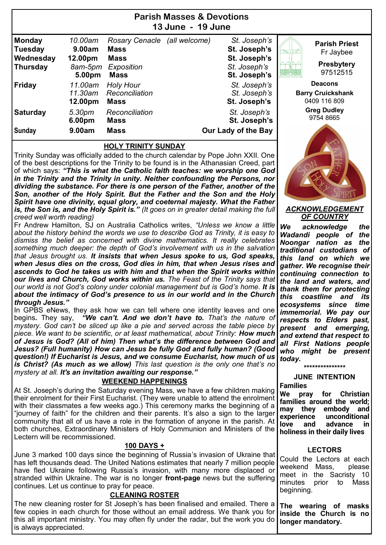| Parish Masses & Devolions<br>13 June - 19 June                  |                                                   |                                                                                  |               |                                                                              |                                                                    |  |  |
|-----------------------------------------------------------------|---------------------------------------------------|----------------------------------------------------------------------------------|---------------|------------------------------------------------------------------------------|--------------------------------------------------------------------|--|--|
| <b>Monday</b><br><b>Tuesday</b><br>Wednesday<br><b>Thursday</b> | 10.00am<br>9.00am<br>12.00pm<br>8am-5pm<br>5.00pm | <b>Rosary Cenacle</b><br><b>Mass</b><br><b>Mass</b><br>Exposition<br><b>Mass</b> | (all welcome) | St. Joseph's<br>St. Joseph's<br>St. Joseph's<br>St. Joseph's<br>St. Joseph's | <b>Parish Priest</b><br>Fr Jaybee<br><b>Presbytery</b><br>97512515 |  |  |
| <b>Friday</b>                                                   | 11.00am<br>11.30am<br>12.00pm                     | <b>Holy Hour</b><br>Reconciliation<br><b>Mass</b>                                |               | St. Joseph's<br>St. Joseph's<br>St. Joseph's                                 | <b>Deacons</b><br><b>Barry Cruickshank</b><br>0409 116 809         |  |  |
| <b>Saturday</b><br><b>Sunday</b>                                | 5.30pm<br>6.00pm<br>9.00am                        | Reconciliation<br><b>Mass</b><br><b>Mass</b>                                     |               | St. Joseph's<br>St. Joseph's<br>Our Lady of the Bay                          | <b>Greg Dudley</b><br>9754 8665                                    |  |  |

**Parish Masses & Devotions**

#### **HOLY TRINITY SUNDAY**

Trinity Sunday was officially added to the church calendar by Pope John XXII. One of the best descriptions for the Trinity to be found is in the Athanasian Creed, part of which says: *"This is what the Catholic faith teaches: we worship one God in the Trinity and the Trinity in unity. Neither confounding the Persons, nor dividing the substance. For there is one person of the Father, another of the Son, another of the Holy Spirit. But the Father and the Son and the Holy Spirit have one divinity, equal glory, and coeternal majesty. What the Father is, the Son is, and the Holy Spirit is." (It goes on in greater detail making the full creed well worth reading)*

Fr Andrew Hamilton, SJ on Australia Catholics writes, *"Unless we know a little about the history behind the words we use to describe God as Trinity, it is easy to dismiss the belief as concerned with divine mathematics. It really celebrates something much deeper: the depth of God's involvement with us in the salvation that Jesus brought us. It insists that when Jesus spoke to us, God speaks, when Jesus dies on the cross, God dies in him, that when Jesus rises and ascends to God he takes us with him and that when the Spirit works within our lives and Church, God works within us. The Feast of the Trinity says that our world is not God's colony under colonial management but is God's home. It is about the intimacy of God's presence to us in our world and in the Church through Jesus."* 

In GPBS eNews, they ask how we can tell where one identity leaves and one begins*.* They say, *"We can't. And we don't have to. That's the nature of mystery. God can't be sliced up like a pie and served across the table piece by piece. We want to be scientific, or at least mathematical, about Trinity: How much of Jesus is God? (All of him) Then what's the difference between God and Jesus? (Full humanity) How can Jesus be fully God and fully human? (Good question!) If Eucharist is Jesus, and we consume Eucharist, how much of us is Christ? (As much as we allow) This last question is the only one that's no mystery at all. It's an invitation awaiting our response."*

### **WEEKEND HAPPENINGS**

At St. Joseph's during the Saturday evening Mass, we have a few children making their enrolment for their First Eucharist. (They were unable to attend the enrolment with their classmates a few weeks ago.) This ceremony marks the beginning of a "journey of faith" for the children and their parents. It's also a sign to the larger community that all of us have a role in the formation of anyone in the parish. At both churches, Extraordinary Ministers of Holy Communion and Ministers of the Lectern will be recommissioned.

### **100 DAYS +**

June 3 marked 100 days since the beginning of Russia's invasion of Ukraine that has left thousands dead. The United Nations estimates that nearly 7 million people have fled Ukraine following Russia's invasion, with many more displaced or stranded within Ukraine. The war is no longer **front-page** news but the suffering continues. Let us continue to pray for peace.

### **CLEANING ROSTER**

The new cleaning roster for St Joseph's has been finalised and emailed. There a few copies in each church for those without an email address. We thank you for this all important ministry. You may often fly under the radar, but the work you do is always appreciated.

97512515 **Deacons Barry Cruickshank** 0409 116 809 **Greg Dudley** 54 8665

#### *ACKNOWLEDGEMENT OF COUNTRY*

*We acknowledge the Wadandi people of the Noongar nation as the traditional custodians of this land on which we gather. We recognise their continuing connection to the land and waters, and thank them for protecting this coastline and its ecosystems since time immemorial. We pay our respects to Elders past, present and emerging, and extend that respect to all First Nations people who might be present today.* 

> **\*\*\*\*\*\*\*\*\*\*\*\*\*\*\* JUNE INTENTION**

#### **Families**

**We pray for Christian families around the world; may they embody and experience unconditional love and advance in holiness in their daily lives**

### **LECTORS**

Could the Lectors at each weekend Mass, please meet in the Sacristy 10 minutes prior to Mass beginning.

**The wearing of masks inside the Church is no longer mandatory.**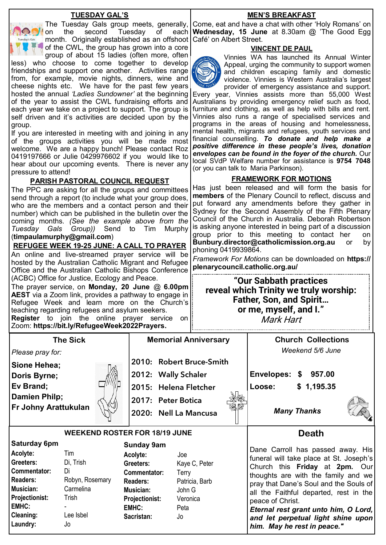#### **TUESDAY GAL'S**

Tuesday's Gals

on the second Tuesday of month. Originally established as an offshoot Café' on Albert Street. of the CWL, the group has grown into a core group of about 15 ladies (often more, often

less) who choose to come together to develop friendships and support one another. Activities range from, for example, movie nights, dinners, wine and cheese nights etc. We have for the past few years hosted the annual *'Ladies Sundowner'* at the beginning of the year to assist the CWL fundraising efforts and each year we take on a project to support. The group is self driven and it's activities are decided upon by the group.

If you are interested in meeting with and joining in any of the groups activities you will be made most welcome. We are a happy bunch! Please contact Roz 0419197666 or Julie 0429976602 if you would like to hear about our upcoming events. There is never any pressure to attend!

## **PARISH PASTORAL COUNCIL REQUEST**

The PPC are asking for all the groups and committees send through a report (to include what your group does, who are the members and a contact person and their number) which can be published in the bulletin over the coming months. *(See the example above from the Tuesday Gals Group))* Send to Tim Murphy (**[timpaulamurphy@gmail.com](mailto:timpaulamurphy@gmail.com)**)

**REFUGEE WEEK 19-25 JUNE: A CALL TO PRAYER**

An online and live-streamed prayer service will be hosted by the Australian Catholic Migrant and Refugee Office and the Australian Catholic Bishops Conference (ACBC) Office for Justice, Ecology and Peace.

The prayer service, on **Monday, 20 June** @ **6.00pm AEST** via a Zoom link, provides a pathway to engage in Refugee Week and learn more on the Church's teaching regarding refugees and asylum seekers. **Register** to join the online prayer service on Zoom: **[https://bit.ly/RefugeeWeek2022Prayers.](https://bit.ly/RefugeeWeek2022Prayers)** 

The Tuesday Gals group meets, generally, Come, eat and have a chat with other 'Holy Romans' on **MEN'S BREAKFAST Wednesday, 15 June** at 8.30am @ 'The Good Egg

## **VINCENT DE PAUL**



Vinnies WA has launched its Annual Winter Appeal, urging the community to support women and children escaping family and domestic violence. Vinnies is Western Australia's largest provider of emergency assistance and support.

Every year, Vinnies assists more than 55,000 West Australians by providing emergency relief such as food, furniture and clothing, as well as help with bills and rent. Vinnies also runs a range of specialised services and programs in the areas of housing and homelessness, mental health, migrants and refugees, youth services and financial counselling. *To donate and help make a positive difference in these people's lives, donation envelopes can be found in the foyer of the church.* Our local SVdP Welfare number for assistance is **9754 7048**  (or you can talk to Maria Parkinson).

## **FRAMEWORK FOR MOTIONS**

Has just been released and will form the basis for **members** of the Plenary Council to reflect, discuss and put forward any amendments before they gather in Sydney for the Second Assembly of the Fifth Plenary Council of the Church in Australia. Deborah Robertson is asking anyone interested in being part of a discussion group prior to this meeting to contact her on **[Bunbury.director@catholicmission.org.au](mailto:Bunbury.director@catholicmission.org.au)** or by phoning 0419939864.

*Framework For Motions* can be downloaded on **https:// plenarycouncil.catholic.org.au/** 

**"Our Sabbath practices reveal which Trinity we truly worship: Father, Son, and Spirit… or me, myself, and I."**  Mark Hart

|                                                                                                                                                                       |                                                                                    | 200111. <b>11Up3.//bil.1y/INGIUYGGYYGGNZUZZI TUYGI</b> 3.                                                                                                                              |                                                       |                                                 |                                                                                                                                                                                                                                                                                                                                |  |
|-----------------------------------------------------------------------------------------------------------------------------------------------------------------------|------------------------------------------------------------------------------------|----------------------------------------------------------------------------------------------------------------------------------------------------------------------------------------|-------------------------------------------------------|-------------------------------------------------|--------------------------------------------------------------------------------------------------------------------------------------------------------------------------------------------------------------------------------------------------------------------------------------------------------------------------------|--|
| <b>The Sick</b>                                                                                                                                                       |                                                                                    |                                                                                                                                                                                        | <b>Memorial Anniversary</b>                           |                                                 | <b>Church Collections</b>                                                                                                                                                                                                                                                                                                      |  |
| Please pray for:                                                                                                                                                      |                                                                                    |                                                                                                                                                                                        |                                                       |                                                 | Weekend 5/6 June                                                                                                                                                                                                                                                                                                               |  |
| Sione Hehea;                                                                                                                                                          |                                                                                    |                                                                                                                                                                                        | 2010: Robert Bruce-Smith                              |                                                 |                                                                                                                                                                                                                                                                                                                                |  |
| Doris Byrne;                                                                                                                                                          |                                                                                    |                                                                                                                                                                                        | 2012: Wally Schaler                                   |                                                 | 957.00                                                                                                                                                                                                                                                                                                                         |  |
| Ev Brand;                                                                                                                                                             |                                                                                    |                                                                                                                                                                                        | 2015: Helena Fletcher                                 |                                                 | \$1,195.35                                                                                                                                                                                                                                                                                                                     |  |
| Damien Philp;                                                                                                                                                         |                                                                                    |                                                                                                                                                                                        | 2017: Peter Botica                                    |                                                 |                                                                                                                                                                                                                                                                                                                                |  |
| <b>Fr Johny Arattukulan</b>                                                                                                                                           |                                                                                    | 2020: Nell La Mancusa                                                                                                                                                                  |                                                       | <b>Many Thanks</b>                              |                                                                                                                                                                                                                                                                                                                                |  |
|                                                                                                                                                                       | <b>WEEKEND ROSTER FOR 18/19 JUNE</b>                                               | <b>Death</b>                                                                                                                                                                           |                                                       |                                                 |                                                                                                                                                                                                                                                                                                                                |  |
| <b>Saturday 6pm</b><br>Acolyte:<br>Greeters:<br>Commentator:<br><b>Readers:</b><br>Musician:<br><b>Projectionist:</b><br><b>EMHC:</b><br><b>Cleaning:</b><br>Laundry: | Tim<br>Di, Trish<br>Di<br>Robyn, Rosemary<br>Carmelina<br>Trish<br>Lee Isbel<br>Jo | <b>Sunday 9am</b><br>Acolyte:<br>Joe<br>Greeters:<br><b>Commentator:</b><br>Terry<br><b>Readers:</b><br>Musician:<br><b>Projectionist:</b><br><b>EMHC:</b><br>Peta<br>Sacristan:<br>Jo | Kaye C, Peter<br>Patricia, Barb<br>John G<br>Veronica | peace of Christ.<br>him. May he rest in peace." | Dane Carroll has passed away. His<br>funeral will take place at St. Joseph's<br>Church this <b>Friday</b> at 2pm. Our<br>thoughts are with the family and we<br>pray that Dane's Soul and the Souls of<br>all the Faithful departed, rest in the<br>Eternal rest grant unto him, O Lord,<br>and let perpetual light shine upon |  |